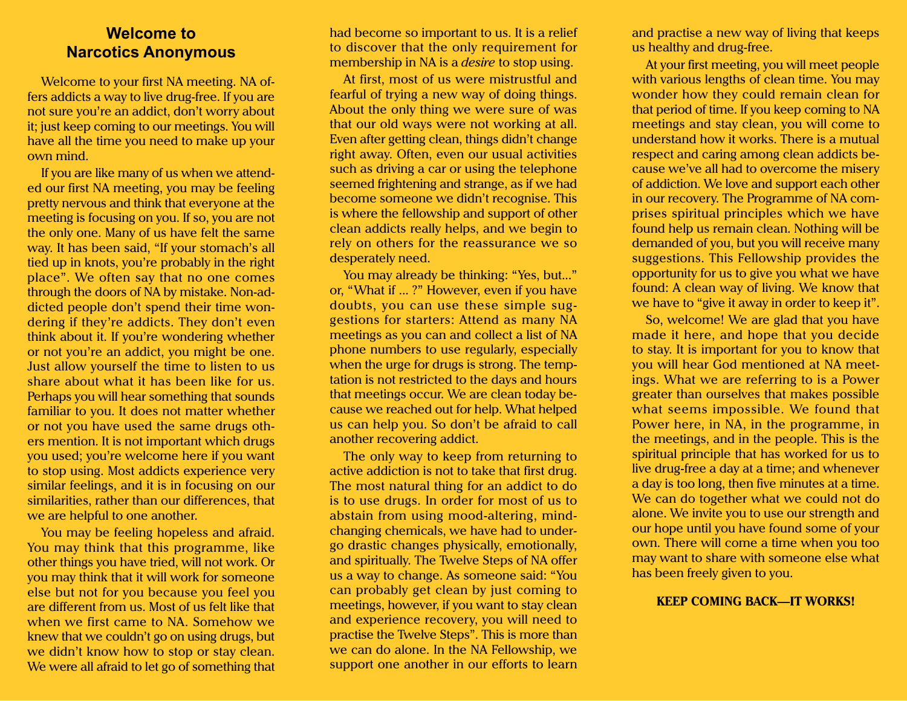## **Welcome toNarcotics Anonymous**

Welcome to your first NA meeting. NA offers addicts a way to live drug-free. If you are not sure you're an addict, don't worry about it; just keep coming to our meetings. You will have all the time you need to make up your own mind.

If you are like many of us when we attended our first NA meeting, you may be feeling pretty nervous and think that everyone at the meeting is focusing on you. If so, you are not the only one. Many of us have felt the same way. It has been said, "If your stomach's all tied up in knots, you're probably in the right place". We often say that no one comes through the doors of NA by mistake. Non-addicted people don't spend their time wondering if they're addicts. They don't even think about it. If you're wondering whether or not you're an addict, you might be one. Just allow yourself the time to listen to us share about what it has been like for us. Perhaps you will hear something that sounds familiar to you. It does not matter whether or not you have used the same drugs others mention. It is not important which drugs you used; you're welcome here if you want to stop using. Most addicts experience very similar feelings, and it is in focusing on our similarities, rather than our differences, that we are helpful to one another.

You may be feeling hopeless and afraid. You may think that this programme, like other things you have tried, will not work. Or you may think that it will work for someone else but not for you because you feel you are different from us. Most of us felt like that when we first came to NA. Somehow we knew that we couldn't go on using drugs, but we didn't know how to stop or stay clean. We were all afraid to let go of something that had become so important to us. It is a relief to discover that the only requirement for membership in NA is a *desire* to stop using.

At first, most of us were mistrustful and fearful of trying a new way of doing things. About the only thing we were sure of was that our old ways were not working at all. Even after getting clean, things didn't change right away. Often, even our usual activities such as driving a car or using the telephone seemed frightening and strange, as if we had become someone we didn't recognise. This is where the fellowship and support of other clean addicts really helps, and we begin to rely on others for the reassurance we so desperately need.

You may already be thinking: "Yes, but..." or, "What if ... ?" However, even if you have doubts, you can use these simple suggestions for starters: Attend as many NA meetings as you can and collect a list of NA phone numbers to use regularly, especially when the urge for drugs is strong. The temptation is not restricted to the days and hours that meetings occur. We are clean today because we reached out for help. What helped us can help you. So don't be afraid to call another recovering addict.

The only way to keep from returning to active addiction is not to take that first drug. The most natural thing for an addict to do is to use drugs. In order for most of us to abstain from using mood-altering, mindchanging chemicals, we have had to undergo drastic changes physically, emotionally, and spiritually. The Twelve Steps of NA offer us a way to change. As someone said: "You can probably get clean by just coming to meetings, however, if you want to stay clean and experience recovery, you will need to practise the Twelve Steps". This is more than we can do alone. In the NA Fellowship, we support one another in our efforts to learn and practise a new way of living that keeps us healthy and drug-free.

At your first meeting, you will meet people with various lengths of clean time. You may wonder how they could remain clean for that period of time. If you keep coming to NA meetings and stay clean, you will come to understand how it works. There is a mutual respect and caring among clean addicts because we've all had to overcome the misery of addiction. We love and support each other in our recovery. The Programme of NA comprises spiritual principles which we have found help us remain clean. Nothing will be demanded of you, but you will receive many suggestions. This Fellowship provides the opportunity for us to give you what we have found: A clean way of living. We know that we have to "give it away in order to keep it".

So, welcome! We are glad that you have made it here, and hope that you decide to stay. It is important for you to know that you will hear God mentioned at NA meetings. What we are referring to is a Power greater than ourselves that makes possible what seems impossible. We found that Power here, in NA, in the programme, in the meetings, and in the people. This is the spiritual principle that has worked for us to live drug-free a day at a time; and whenever a day is too long, then five minutes at a time. We can do together what we could not do alone. We invite you to use our strength and our hope until you have found some of your own. There will come a time when you too may want to share with someone else what has been freely given to you.

## **KEEP COMING BACK—IT WORKS!**